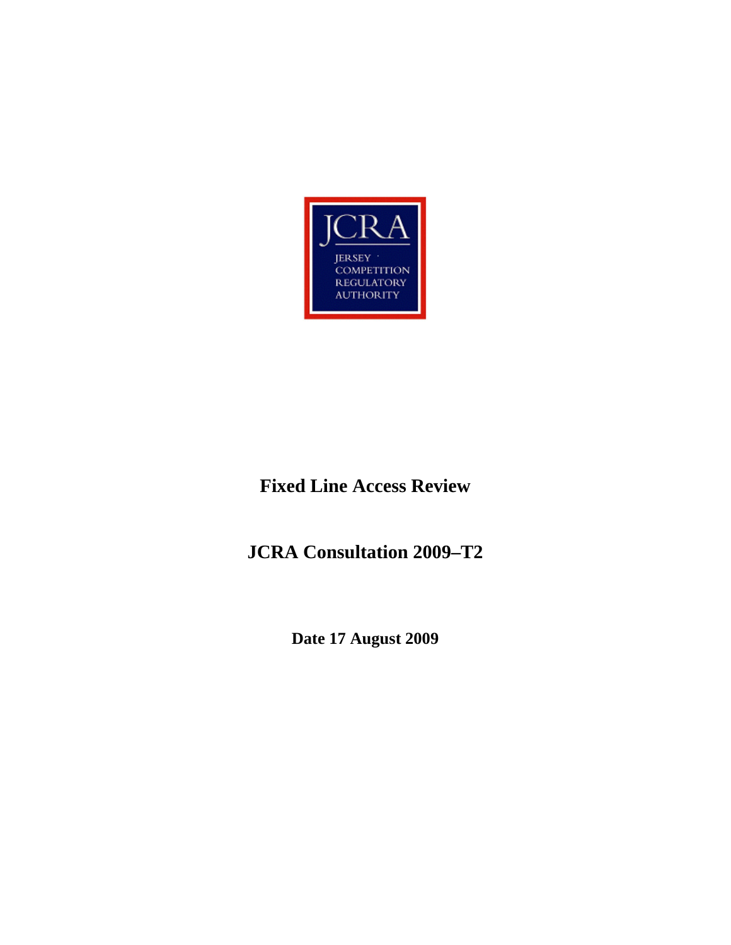

## **Fixed Line Access Review**

**JCRA Consultation 2009–T2** 

**Date 17 August 2009**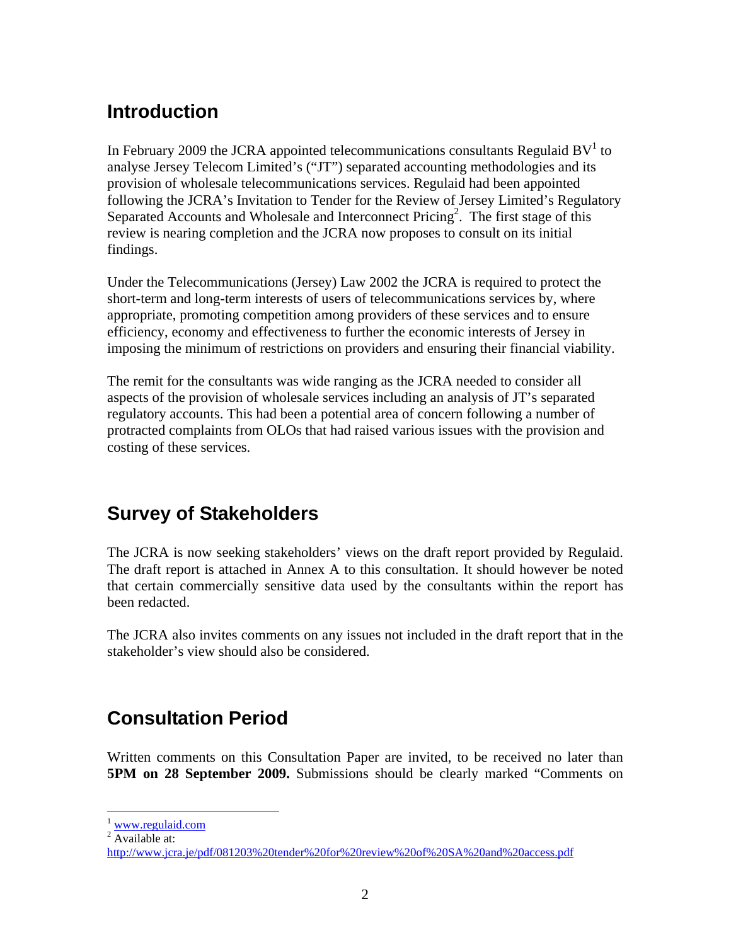## **Introduction**

In February 2009 the JCRA appointed telecommunications consultants Regulaid BV $^1$  to analyse Jersey Telecom Limited's ("JT") separated accounting methodologies and its provision of wholesale telecommunications services. Regulaid had been appointed following the JCRA's Invitation to Tender for the Review of Jersey Limited's Regulatory Separated Accounts and Wholesale and Interconnect Pricing<sup>2</sup>. The first stage of this review is nearing completion and the JCRA now proposes to consult on its initial findings.

Under the Telecommunications (Jersey) Law 2002 the JCRA is required to protect the short-term and long-term interests of users of telecommunications services by, where appropriate, promoting competition among providers of these services and to ensure efficiency, economy and effectiveness to further the economic interests of Jersey in imposing the minimum of restrictions on providers and ensuring their financial viability.

The remit for the consultants was wide ranging as the JCRA needed to consider all aspects of the provision of wholesale services including an analysis of JT's separated regulatory accounts. This had been a potential area of concern following a number of protracted complaints from OLOs that had raised various issues with the provision and costing of these services.

## **Survey of Stakeholders**

The JCRA is now seeking stakeholders' views on the draft report provided by Regulaid. The draft report is attached in Annex A to this consultation. It should however be noted that certain commercially sensitive data used by the consultants within the report has been redacted.

The JCRA also invites comments on any issues not included in the draft report that in the stakeholder's view should also be considered.

## **Consultation Period**

Written comments on this Consultation Paper are invited, to be received no later than **5PM on 28 September 2009.** Submissions should be clearly marked "Comments on

 $\overline{a}$ 

 $1$  www.regulaid.com

 $\sqrt[2]{\text{Available}}$  at:

http://www.jcra.je/pdf/081203%20tender%20for%20review%20of%20SA%20and%20access.pdf